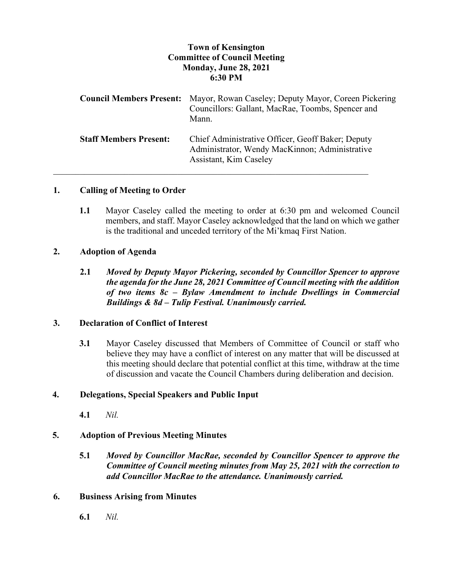# **Town of Kensington Committee of Council Meeting Monday, June 28, 2021 6:30 PM**

| <b>Council Members Present:</b> | Mayor, Rowan Caseley; Deputy Mayor, Coreen Pickering<br>Councillors: Gallant, MacRae, Toombs, Spencer and<br>Mann.            |
|---------------------------------|-------------------------------------------------------------------------------------------------------------------------------|
| <b>Staff Members Present:</b>   | Chief Administrative Officer, Geoff Baker; Deputy<br>Administrator, Wendy MacKinnon; Administrative<br>Assistant, Kim Caseley |

### **1. Calling of Meeting to Order**

**1.1** Mayor Caseley called the meeting to order at 6:30 pm and welcomed Council members, and staff. Mayor Caseley acknowledged that the land on which we gather is the traditional and unceded territory of the Mi'kmaq First Nation.

#### **2. Adoption of Agenda**

**2.1** *Moved by Deputy Mayor Pickering, seconded by Councillor Spencer to approve the agenda for the June 28, 2021 Committee of Council meeting with the addition of two items 8c – Bylaw Amendment to include Dwellings in Commercial Buildings & 8d – Tulip Festival. Unanimously carried.*

## **3. Declaration of Conflict of Interest**

**3.1** Mayor Caseley discussed that Members of Committee of Council or staff who believe they may have a conflict of interest on any matter that will be discussed at this meeting should declare that potential conflict at this time, withdraw at the time of discussion and vacate the Council Chambers during deliberation and decision.

### **4. Delegations, Special Speakers and Public Input**

**4.1** *Nil.*

### **5. Adoption of Previous Meeting Minutes**

**5.1** *Moved by Councillor MacRae, seconded by Councillor Spencer to approve the Committee of Council meeting minutes from May 25, 2021 with the correction to add Councillor MacRae to the attendance. Unanimously carried.*

#### **6. Business Arising from Minutes**

**6.1** *Nil.*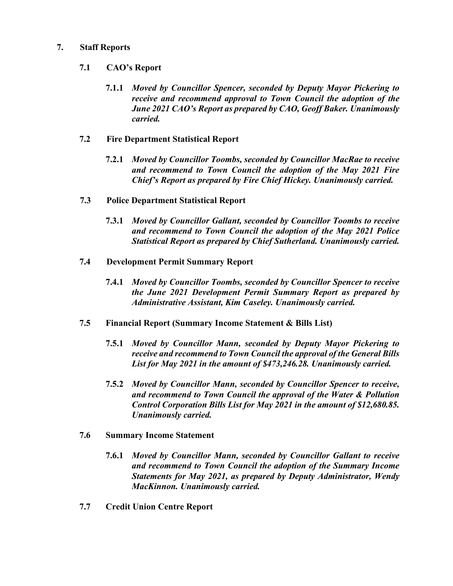## **7. Staff Reports**

## **7.1 CAO's Report**

**7.1.1** *Moved by Councillor Spencer, seconded by Deputy Mayor Pickering to receive and recommend approval to Town Council the adoption of the June 2021 CAO's Report as prepared by CAO, Geoff Baker. Unanimously carried.*

## **7.2 Fire Department Statistical Report**

- **7.2.1** *Moved by Councillor Toombs, seconded by Councillor MacRae to receive and recommend to Town Council the adoption of the May 2021 Fire Chief's Report as prepared by Fire Chief Hickey. Unanimously carried.*
- **7.3 Police Department Statistical Report**
	- **7.3.1** *Moved by Councillor Gallant, seconded by Councillor Toombs to receive and recommend to Town Council the adoption of the May 2021 Police Statistical Report as prepared by Chief Sutherland. Unanimously carried.*
- **7.4 Development Permit Summary Report**
	- **7.4.1** *Moved by Councillor Toombs, seconded by Councillor Spencer to receive the June 2021 Development Permit Summary Report as prepared by Administrative Assistant, Kim Caseley. Unanimously carried.*
- **7.5 Financial Report (Summary Income Statement & Bills List)**
	- **7.5.1** *Moved by Councillor Mann, seconded by Deputy Mayor Pickering to receive and recommend to Town Council the approval of the General Bills List for May 2021 in the amount of \$473,246.28. Unanimously carried.*
	- **7.5.2** *Moved by Councillor Mann, seconded by Councillor Spencer to receive, and recommend to Town Council the approval of the Water & Pollution Control Corporation Bills List for May 2021 in the amount of \$12,680.85. Unanimously carried.*
- **7.6 Summary Income Statement**
	- **7.6.1** *Moved by Councillor Mann, seconded by Councillor Gallant to receive and recommend to Town Council the adoption of the Summary Income Statements for May 2021, as prepared by Deputy Administrator, Wendy MacKinnon. Unanimously carried.*
- **7.7 Credit Union Centre Report**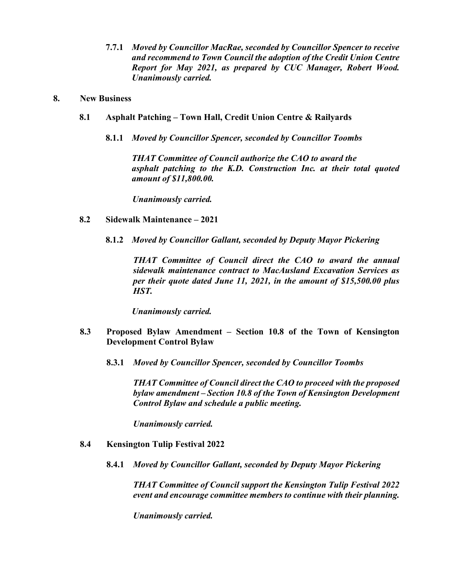**7.7.1** *Moved by Councillor MacRae, seconded by Councillor Spencer to receive and recommend to Town Council the adoption of the Credit Union Centre Report for May 2021, as prepared by CUC Manager, Robert Wood. Unanimously carried.*

#### **8. New Business**

- **8.1 Asphalt Patching – Town Hall, Credit Union Centre & Railyards**
	- **8.1.1** *Moved by Councillor Spencer, seconded by Councillor Toombs*

*THAT Committee of Council authorize the CAO to award the asphalt patching to the K.D. Construction Inc. at their total quoted amount of \$11,800.00.*

*Unanimously carried.* 

- **8.2 Sidewalk Maintenance – 2021**
	- **8.1.2** *Moved by Councillor Gallant, seconded by Deputy Mayor Pickering*

*THAT Committee of Council direct the CAO to award the annual sidewalk maintenance contract to MacAusland Excavation Services as per their quote dated June 11, 2021, in the amount of \$15,500.00 plus HST.*

*Unanimously carried.* 

- **8.3 Proposed Bylaw Amendment – Section 10.8 of the Town of Kensington Development Control Bylaw**
	- **8.3.1** *Moved by Councillor Spencer, seconded by Councillor Toombs*

*THAT Committee of Council direct the CAO to proceed with the proposed bylaw amendment – Section 10.8 of the Town of Kensington Development Control Bylaw and schedule a public meeting.* 

*Unanimously carried.* 

- **8.4 Kensington Tulip Festival 2022**
	- **8.4.1** *Moved by Councillor Gallant, seconded by Deputy Mayor Pickering*

*THAT Committee of Council support the Kensington Tulip Festival 2022 event and encourage committee members to continue with their planning.* 

*Unanimously carried.*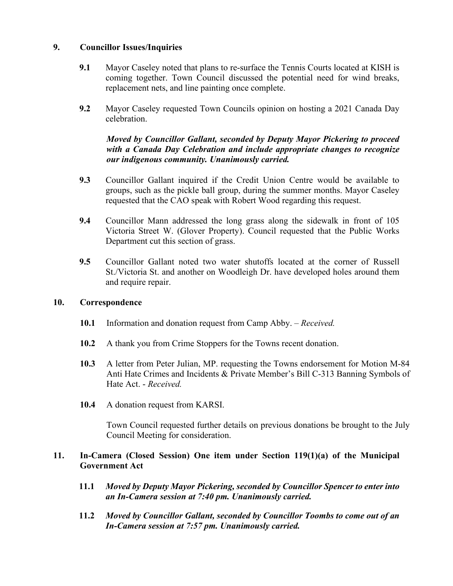## **9. Councillor Issues/Inquiries**

- **9.1** Mayor Caseley noted that plans to re-surface the Tennis Courts located at KISH is coming together. Town Council discussed the potential need for wind breaks, replacement nets, and line painting once complete.
- **9.2** Mayor Caseley requested Town Councils opinion on hosting a 2021 Canada Day celebration.

# *Moved by Councillor Gallant, seconded by Deputy Mayor Pickering to proceed with a Canada Day Celebration and include appropriate changes to recognize our indigenous community. Unanimously carried.*

- **9.3** Councillor Gallant inquired if the Credit Union Centre would be available to groups, such as the pickle ball group, during the summer months. Mayor Caseley requested that the CAO speak with Robert Wood regarding this request.
- **9.4** Councillor Mann addressed the long grass along the sidewalk in front of 105 Victoria Street W. (Glover Property). Council requested that the Public Works Department cut this section of grass.
- **9.5** Councillor Gallant noted two water shutoffs located at the corner of Russell St./Victoria St. and another on Woodleigh Dr. have developed holes around them and require repair.

### **10. Correspondence**

- **10.1** Information and donation request from Camp Abby. *Received.*
- **10.2** A thank you from Crime Stoppers for the Towns recent donation.
- **10.3** A letter from Peter Julian, MP. requesting the Towns endorsement for Motion M-84 Anti Hate Crimes and Incidents & Private Member's Bill C-313 Banning Symbols of Hate Act. - *Received.*
- **10.4** A donation request from KARSI.

Town Council requested further details on previous donations be brought to the July Council Meeting for consideration.

## **11. In-Camera (Closed Session) One item under Section 119(1)(a) of the Municipal Government Act**

- **11.1** *Moved by Deputy Mayor Pickering, seconded by Councillor Spencer to enter into an In-Camera session at 7:40 pm. Unanimously carried.*
- **11.2** *Moved by Councillor Gallant, seconded by Councillor Toombs to come out of an In-Camera session at 7:57 pm. Unanimously carried.*